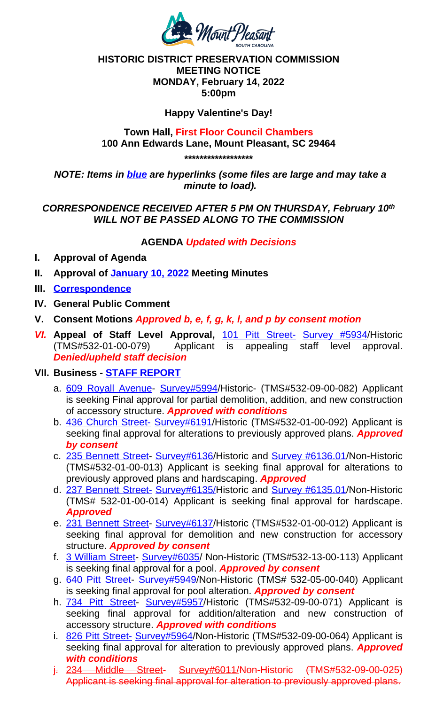*NOTE: Items in blue are hyperlinks (some files are large and may take a minute to load).*

## *CORRESPONDENCE RECEIVED AFTER 5 PM ON THURSDAY, February 10th WILL NOT BE PASSED ALONG TO THE COMMISSION*

### **AGENDA** *Updated with Decisions*

- **I. Approval of Agenda**
- **II. Approval of January 10, 2022 Meeting Minutes**
- **III. Correspondence**
- **IV. General Public Comment**
- **V. Consent Motions** *Approved b, e, f, g, k, l, and p by consent motion*
- *VI.* **Appeal of Staff Level Approval,** 101 Pitt Street- Survey #5934/Historic (TMS#532-01-00-079) Applicant is appealing staff level approval. *Denied/upheld staff decision*

# **VII. Business - STAFF REPORT**

- a. 609 Royall Avenue- Survey#5994/Historic- (TMS#532-09-00-082) Applicant is seeking Final approval for partial demolition, addition, and new construction of accessory structure. *Approved with conditions*
- b. 436 Chur[ch Street-](https://www.tompsc.com/AgendaCenter/ViewFile/Minutes/_01102022-1116) Survey[#6191/Historic](https://www.tompsc.com/AgendaCenter/ViewFile/Minutes/_01102022-1116) (TMS#532-01-00-092) Applicant is seeking final approval for alterations to previously approved plans. *Approved [by consent](https://www.tompsc.com/DocumentCenter/View/40618/Correspondence-21422)*
- c. 235 Bennett Street- Survey#6136/Historic and Survey #6136.01/Non-Historic (TMS#532-01-00-013) Applicant is seeking final approval for alterations to previously approved plans and hardscaping. *Approved*
- d. 237 Bennett Street- Survey#6135/[Historic](https://www.tompsc.com/DocumentCenter/View/40294/101-Pitt-Street-Appeal) and Survey [#6135.01/Non-](https://www.tompsc.com/DocumentCenter/View/28897/101-Pitt-Street---5934)Historic (TMS# 532-01-00-014) Applicant is seeking final approval for hardscape. *Approved*
- e. 231 Ben[nett Street-](https://www.tompsc.com/DocumentCenter/View/40467/TOMP-PowerPoint-February-14-2022-presentation) Survey#6137/Historic (TMS#532-01-00-012) Applicant is [seeking](https://www.tompsc.com/DocumentCenter/View/40291/609-Royall-Avenue-Final-Submittal) final approval for [demolit](https://www.tompsc.com/DocumentCenter/View/29329/609-Royall-Avenue---5994)ion and new construction for accessory structure. *Approved by consent*
- f. 3 William Street- Survey#6035/ Non-Historic (TMS#532-13-00-113) Applicant [is seeking final appr](https://www.tompsc.com/DocumentCenter/View/40291/609-Royall-Avenue-Final-Submittal)[oval for a poo](https://www.tompsc.com/DocumentCenter/View/29309/436-Church-Street---6191)l. *Approved by consent*
- g. 640 Pitt Street- Survey#5949/Non-Historic (TMS# 532-05-00-040) Applicant is seeking final approval for pool alteration. *Approved by consent*
- h. [734 Pitt Street-](https://www.tompsc.com/DocumentCenter/View/40295/235-Bennett-Street-Final-Submittal) S[urvey#5957/Hi](https://www.tompsc.com/DocumentCenter/View/29127/235-Bennett-Street---6136)storic (TMS[#532-09-00-071\)](https://www.tompsc.com/DocumentCenter/View/29126/235-Bennett-Street---613601) Applicant is seeking final approval for addition/alteration and new construction of accessory structure. *Approved with conditions*
- i. [826 Pitt Street-](https://www.tompsc.com/DocumentCenter/View/40296/237-Bennett-Street-Final-Submittal) Sur[vey#5964/Non-](https://www.tompsc.com/DocumentCenter/View/29132/237-Bennett-Street---6135)Historic (TM[S#532-09-00-064\)](https://www.tompsc.com/DocumentCenter/View/29131/237-Bennett-Street---613501) Applicant is seeking final approval for alteration to previously approved plans. *Approved with conditions*
- j. [234 Middle Str](https://www.tompsc.com/DocumentCenter/View/40297/231-Bennett-Street-Final-Submittal)eet- Survey#6011/Non-Historic (TMS#532-09-00-025) Applicant is seeking [final approval](https://www.tompsc.com/DocumentCenter/View/29124/231-Bennett-Street---6137) for alteration to previously approved plans.